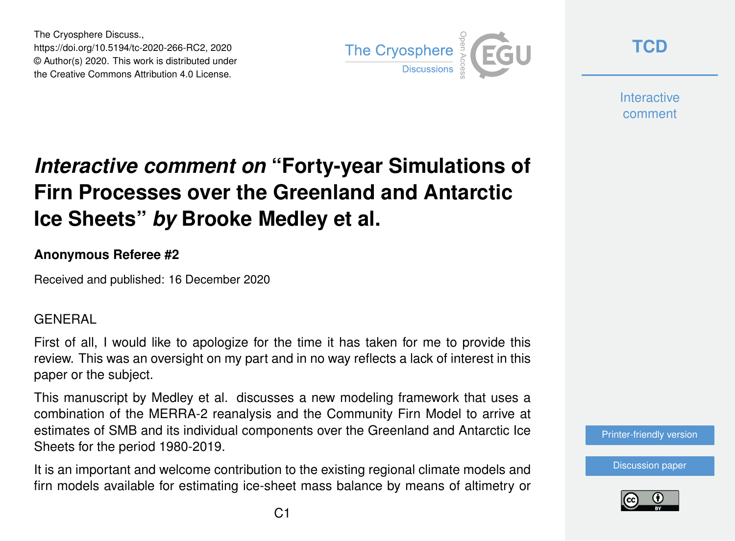The Cryosphere Discuss., https://doi.org/10.5194/tc-2020-266-RC2, 2020 © Author(s) 2020. This work is distributed under the Creative Commons Attribution 4.0 License.



**[TCD](https://tc.copernicus.org/preprints/)**

**Interactive** comment

# *Interactive comment on* **"Forty-year Simulations of Firn Processes over the Greenland and Antarctic Ice Sheets"** *by* **Brooke Medley et al.**

# **Anonymous Referee #2**

Received and published: 16 December 2020

# **GENERAL**

First of all, I would like to apologize for the time it has taken for me to provide this review. This was an oversight on my part and in no way reflects a lack of interest in this paper or the subject.

This manuscript by Medley et al. discusses a new modeling framework that uses a combination of the MERRA-2 reanalysis and the Community Firn Model to arrive at estimates of SMB and its individual components over the Greenland and Antarctic Ice Sheets for the period 1980-2019.

It is an important and welcome contribution to the existing regional climate models and firn models available for estimating ice-sheet mass balance by means of altimetry or



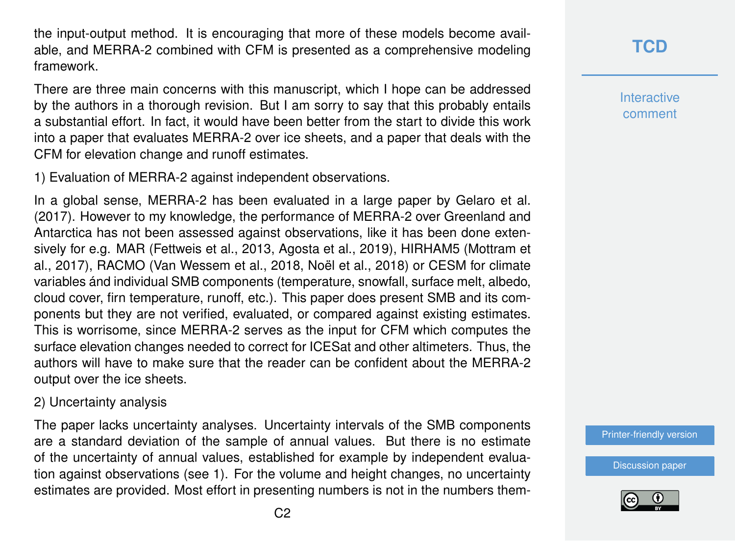the input-output method. It is encouraging that more of these models become available, and MERRA-2 combined with CFM is presented as a comprehensive modeling framework.

There are three main concerns with this manuscript, which I hope can be addressed by the authors in a thorough revision. But I am sorry to say that this probably entails a substantial effort. In fact, it would have been better from the start to divide this work into a paper that evaluates MERRA-2 over ice sheets, and a paper that deals with the CFM for elevation change and runoff estimates.

1) Evaluation of MERRA-2 against independent observations.

In a global sense, MERRA-2 has been evaluated in a large paper by Gelaro et al. (2017). However to my knowledge, the performance of MERRA-2 over Greenland and Antarctica has not been assessed against observations, like it has been done extensively for e.g. MAR (Fettweis et al., 2013, Agosta et al., 2019), HIRHAM5 (Mottram et al., 2017), RACMO (Van Wessem et al., 2018, Noël et al., 2018) or CESM for climate variables ánd individual SMB components (temperature, snowfall, surface melt, albedo, cloud cover, firn temperature, runoff, etc.). This paper does present SMB and its components but they are not verified, evaluated, or compared against existing estimates. This is worrisome, since MERRA-2 serves as the input for CFM which computes the surface elevation changes needed to correct for ICESat and other altimeters. Thus, the authors will have to make sure that the reader can be confident about the MERRA-2 output over the ice sheets.

#### 2) Uncertainty analysis

The paper lacks uncertainty analyses. Uncertainty intervals of the SMB components are a standard deviation of the sample of annual values. But there is no estimate of the uncertainty of annual values, established for example by independent evaluation against observations (see 1). For the volume and height changes, no uncertainty estimates are provided. Most effort in presenting numbers is not in the numbers them**Interactive** comment

[Printer-friendly version](https://tc.copernicus.org/preprints/tc-2020-266/tc-2020-266-RC2-print.pdf)

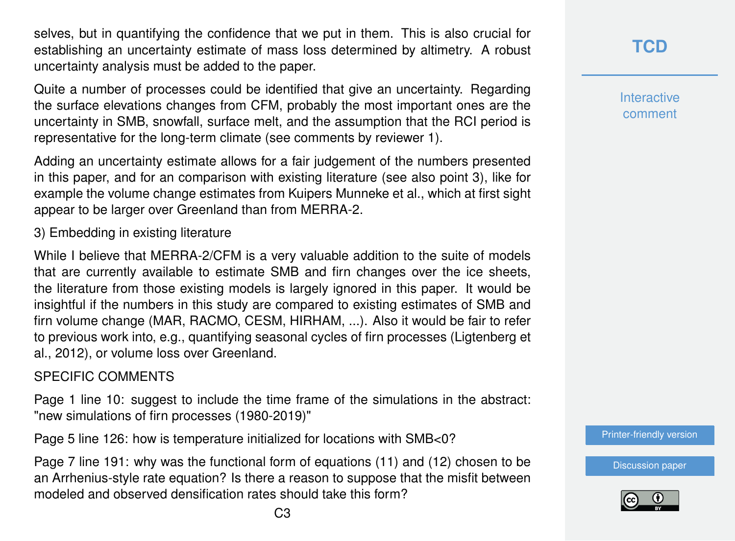selves, but in quantifying the confidence that we put in them. This is also crucial for establishing an uncertainty estimate of mass loss determined by altimetry. A robust uncertainty analysis must be added to the paper.

Quite a number of processes could be identified that give an uncertainty. Regarding the surface elevations changes from CFM, probably the most important ones are the uncertainty in SMB, snowfall, surface melt, and the assumption that the RCI period is representative for the long-term climate (see comments by reviewer 1).

Adding an uncertainty estimate allows for a fair judgement of the numbers presented in this paper, and for an comparison with existing literature (see also point 3), like for example the volume change estimates from Kuipers Munneke et al., which at first sight appear to be larger over Greenland than from MERRA-2.

3) Embedding in existing literature

While I believe that MERRA-2/CFM is a very valuable addition to the suite of models that are currently available to estimate SMB and firn changes over the ice sheets, the literature from those existing models is largely ignored in this paper. It would be insightful if the numbers in this study are compared to existing estimates of SMB and firn volume change (MAR, RACMO, CESM, HIRHAM, ...). Also it would be fair to refer to previous work into, e.g., quantifying seasonal cycles of firn processes (Ligtenberg et al., 2012), or volume loss over Greenland.

# SPECIFIC COMMENTS

Page 1 line 10: suggest to include the time frame of the simulations in the abstract: "new simulations of firn processes (1980-2019)"

Page 5 line 126: how is temperature initialized for locations with SMB<0?

Page 7 line 191: why was the functional form of equations (11) and (12) chosen to be an Arrhenius-style rate equation? Is there a reason to suppose that the misfit between modeled and observed densification rates should take this form?

**[TCD](https://tc.copernicus.org/preprints/)**

**Interactive** comment

[Printer-friendly version](https://tc.copernicus.org/preprints/tc-2020-266/tc-2020-266-RC2-print.pdf)

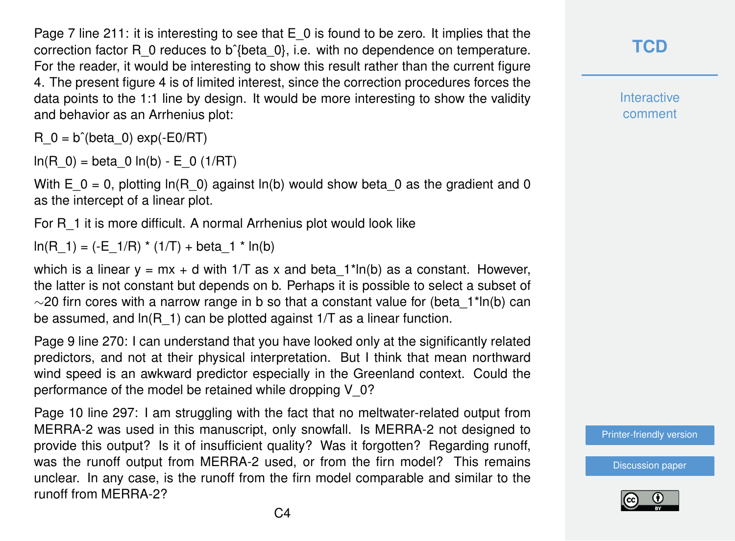Page 7 line 211: it is interesting to see that  $E_0$  is found to be zero. It implies that the correction factor R\_0 reduces to bˆ{beta\_0}, i.e. with no dependence on temperature. For the reader, it would be interesting to show this result rather than the current figure 4. The present figure 4 is of limited interest, since the correction procedures forces the data points to the 1:1 line by design. It would be more interesting to show the validity and behavior as an Arrhenius plot:

R  $0 = b^{\hat{}}(beta 0)$  exp(-E0/RT)

 $ln(R_0) = beta_0 ln(b) - E_0 (1/RT)$ 

With E\_0 = 0, plotting ln(R\_0) against ln(b) would show beta\_0 as the gradient and 0 as the intercept of a linear plot.

For R\_1 it is more difficult. A normal Arrhenius plot would look like

 $ln(R_1) = (-E_1/R) * (1/T) + beta_1 * ln(b)$ 

which is a linear  $y = mx + d$  with 1/T as x and beta  $1*ln(b)$  as a constant. However, the latter is not constant but depends on b. Perhaps it is possible to select a subset of  $\sim$ 20 firn cores with a narrow range in b so that a constant value for (beta 1\*ln(b) can be assumed, and  $ln(R_1)$  can be plotted against 1/T as a linear function.

Page 9 line 270: I can understand that you have looked only at the significantly related predictors, and not at their physical interpretation. But I think that mean northward wind speed is an awkward predictor especially in the Greenland context. Could the performance of the model be retained while dropping V\_0?

Page 10 line 297: I am struggling with the fact that no meltwater-related output from MERRA-2 was used in this manuscript, only snowfall. Is MERRA-2 not designed to provide this output? Is it of insufficient quality? Was it forgotten? Regarding runoff, was the runoff output from MERRA-2 used, or from the firn model? This remains unclear. In any case, is the runoff from the firn model comparable and similar to the runoff from MERRA-2?

**[TCD](https://tc.copernicus.org/preprints/)**

**Interactive** comment

[Printer-friendly version](https://tc.copernicus.org/preprints/tc-2020-266/tc-2020-266-RC2-print.pdf)

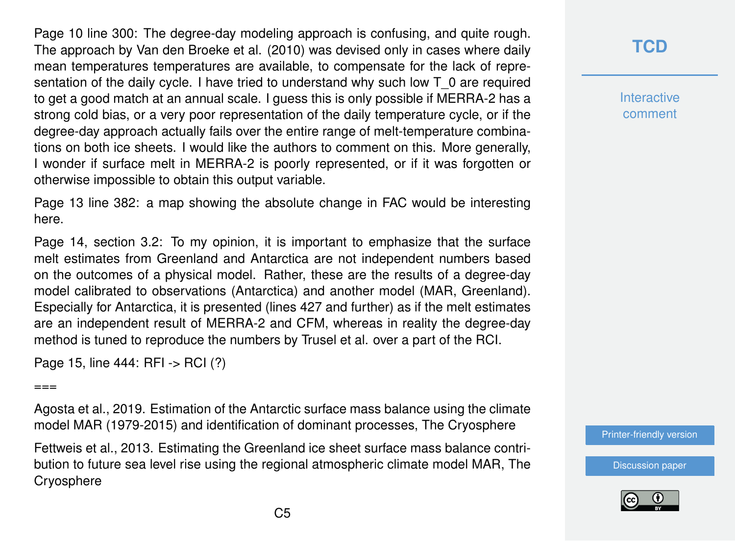Page 10 line 300: The degree-day modeling approach is confusing, and quite rough. The approach by Van den Broeke et al. (2010) was devised only in cases where daily mean temperatures temperatures are available, to compensate for the lack of representation of the daily cycle. I have tried to understand why such low T\_0 are required to get a good match at an annual scale. I guess this is only possible if MERRA-2 has a strong cold bias, or a very poor representation of the daily temperature cycle, or if the degree-day approach actually fails over the entire range of melt-temperature combinations on both ice sheets. I would like the authors to comment on this. More generally, I wonder if surface melt in MERRA-2 is poorly represented, or if it was forgotten or otherwise impossible to obtain this output variable.

Page 13 line 382: a map showing the absolute change in FAC would be interesting here.

Page 14, section 3.2: To my opinion, it is important to emphasize that the surface melt estimates from Greenland and Antarctica are not independent numbers based on the outcomes of a physical model. Rather, these are the results of a degree-day model calibrated to observations (Antarctica) and another model (MAR, Greenland). Especially for Antarctica, it is presented (lines 427 and further) as if the melt estimates are an independent result of MERRA-2 and CFM, whereas in reality the degree-day method is tuned to reproduce the numbers by Trusel et al. over a part of the RCI.

Page 15, line 444: RFI -> RCI (?)

 $===$ 

Agosta et al., 2019. Estimation of the Antarctic surface mass balance using the climate model MAR (1979-2015) and identification of dominant processes, The Cryosphere

Fettweis et al., 2013. Estimating the Greenland ice sheet surface mass balance contribution to future sea level rise using the regional atmospheric climate model MAR, The **Cryosphere** 

# **[TCD](https://tc.copernicus.org/preprints/)**

**Interactive** comment

[Printer-friendly version](https://tc.copernicus.org/preprints/tc-2020-266/tc-2020-266-RC2-print.pdf)